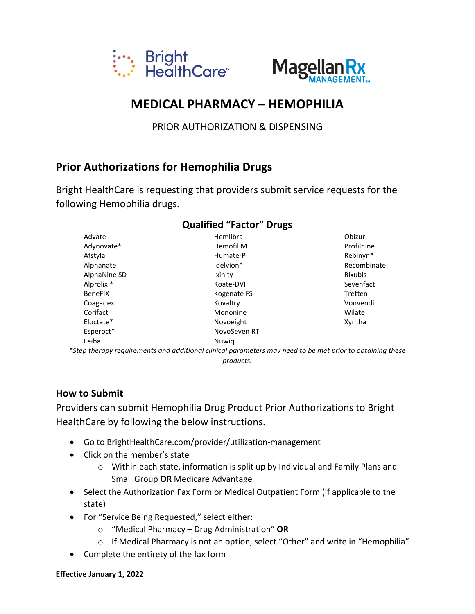



# **MEDICAL PHARMACY - HEMOPHILIA**

PRIOR AUTHORIZATION & DISPENSING

## **Prior Authorizations for Hemophilia Drugs**

Bright HealthCare is requesting that providers submit service requests for the following Hemophilia drugs.

| Advate                | Hemlibra                                                                                                  | Obizur         |
|-----------------------|-----------------------------------------------------------------------------------------------------------|----------------|
| Adynovate*            | Hemofil M                                                                                                 | Profilnine     |
| Afstyla               | Humate-P                                                                                                  | Rebinyn*       |
| Alphanate             | Idelvion*                                                                                                 | Recombinate    |
| AlphaNine SD          | Ixinity                                                                                                   | <b>Rixubis</b> |
| Alprolix <sup>*</sup> | Koate-DVI                                                                                                 | Sevenfact      |
| <b>BeneFIX</b>        | Kogenate FS                                                                                               | <b>Tretten</b> |
| Coagadex              | Kovaltry                                                                                                  | Vonvendi       |
| Corifact              | Mononine                                                                                                  | Wilate         |
| Eloctate*             | Novoeight                                                                                                 | Xyntha         |
| Esperoct*             | NovoSeven RT                                                                                              |                |
| Feiba                 | Nuwig                                                                                                     |                |
|                       | *Step therapy requirements and additional clinical parameters may need to be met prior to obtaining these |                |

#### Qualified "Factor" Drugs

products.

#### **How to Submit**

Providers can submit Hemophilia Drug Product Prior Authorizations to Bright Health Care by following the below instructions.

- Go to BrightHealthCare.com/provider/utilization-management
- Click on the member's state
	- o Within each state, information is split up by Individual and Family Plans and Small Group OR Medicare Advantage
- Select the Authorization Fax Form or Medical Outpatient Form (if applicable to the state)
- For "Service Being Requested," select either:
	- $\circ$  "Medical Pharmacy Drug Administration" OR
	- o If Medical Pharmacy is not an option, select "Other" and write in "Hemophilia"
- Complete the entirety of the fax form